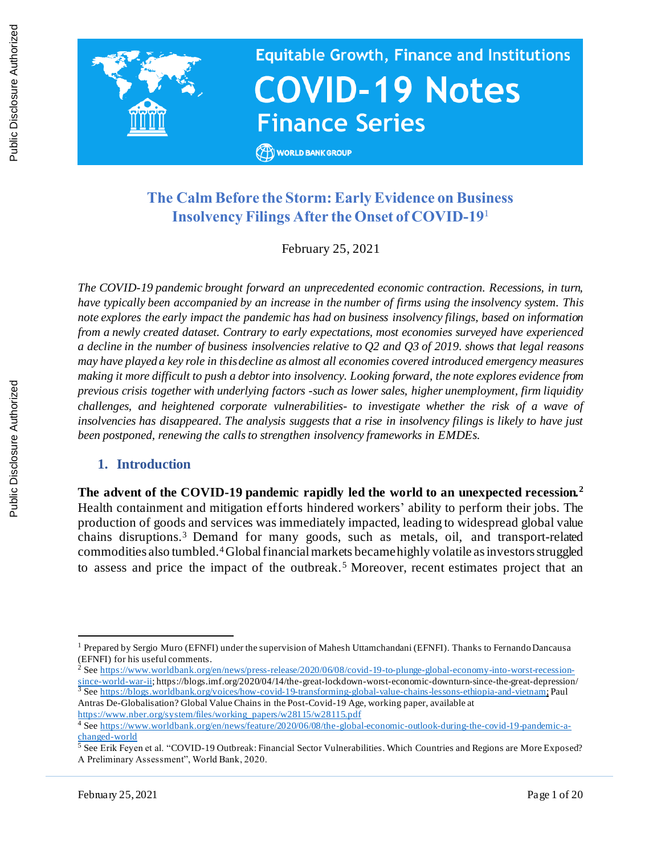

# **The Calm Before the Storm: Early Evidence on Business Insolvency Filings After the Onset of COVID-19**<sup>1</sup>

February 25, 2021

*The COVID-19 pandemic brought forward an unprecedented economic contraction. Recessions, in turn, have typically been accompanied by an increase in the number of firms using the insolvency system. This note explores the early impact the pandemic has had on business insolvency filings, based on information from a newly created dataset. Contrary to early expectations, most economies surveyed have experienced a decline in the number of business insolvencies relative to Q2 and Q3 of 2019. shows that legal reasons may have played a key role in this decline as almost all economies covered introduced emergency measures making it more difficult to push a debtor into insolvency. Looking forward, the note explores evidence from previous crisis together with underlying factors -such as lower sales, higher unemployment, firm liquidity challenges, and heightened corporate vulnerabilities- to investigate whether the risk of a wave of insolvencies has disappeared. The analysis suggests that a rise in insolvency filings is likely to have just been postponed, renewing the calls to strengthen insolvency frameworks in EMDEs.* 

#### **1. Introduction**

**The advent of the COVID-19 pandemic rapidly led the world to an unexpected recession.<sup>2</sup>** Health containment and mitigation efforts hindered workers' ability to perform their jobs. The production of goods and services was immediately impacted, leading to widespread global value chains disruptions.<sup>3</sup> Demand for many goods, such as metals, oil, and transport-related commodities also tumbled.4Global financial markets becamehighly volatile as investors struggled to assess and price the impact of the outbreak.<sup>5</sup> Moreover, recent estimates project that an

<sup>1</sup> Prepared by Sergio Muro (EFNFI) under the supervision of Mahesh Uttamchandani (EFNFI). Thanks to Fernando Dancausa (EFNFI) for his useful comments.

<sup>&</sup>lt;sup>2</sup> Se[e https://www.worldbank.org/en/news/press-release/2020/06/08/covid-19-to-plunge-global-economy-into-worst-recession](https://www.worldbank.org/en/news/press-release/2020/06/08/covid-19-to-plunge-global-economy-into-worst-recession-since-world-war-ii)[since-world-war-ii;](https://www.worldbank.org/en/news/press-release/2020/06/08/covid-19-to-plunge-global-economy-into-worst-recession-since-world-war-ii) https://blogs.imf.org/2020/04/14/the-great-lockdown-worst-economic-downturn-since-the-great-depression/ <sup>3</sup> See <https://blogs.worldbank.org/voices/how-covid-19-transforming-global-value-chains-lessons-ethiopia-and-vietnam>; Paul Antras De-Globalisation? Global Value Chains in the Post-Covid-19 Age, working paper, available at [https://www.nber.org/system/files/working\\_papers/w28115/w28115.pdf](https://www.nber.org/system/files/working_papers/w28115/w28115.pdf)

<sup>4</sup> Se[e https://www.worldbank.org/en/news/feature/2020/06/08/the-global-economic-outlook-during-the-covid-19-pandemic-a](https://www.worldbank.org/en/news/feature/2020/06/08/the-global-economic-outlook-during-the-covid-19-pandemic-a-changed-world)[changed-world](https://www.worldbank.org/en/news/feature/2020/06/08/the-global-economic-outlook-during-the-covid-19-pandemic-a-changed-world)

<sup>&</sup>lt;sup>5</sup> See Erik Feyen et al. "COVID-19 Outbreak: Financial Sector Vulnerabilities. Which Countries and Regions are More Exposed? A Preliminary Assessment", World Bank, 2020.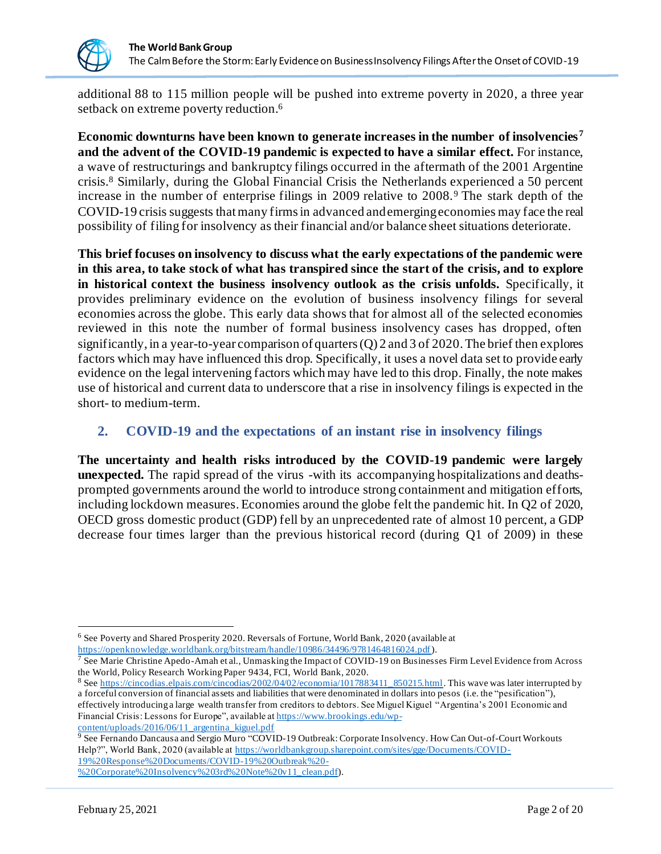

additional 88 to 115 million people will be pushed into extreme poverty in 2020, a three year setback on extreme poverty reduction.<sup>6</sup>

**Economic downturns have been known to generate increases in the number of insolvencies <sup>7</sup> and the advent of the COVID-19 pandemic is expected to have a similar effect.** For instance, a wave of restructurings and bankruptcy filings occurred in the aftermath of the 2001 Argentine crisis. <sup>8</sup> Similarly, during the Global Financial Crisis the Netherlands experienced a 50 percent increase in the number of enterprise filings in 2009 relative to 2008.<sup>9</sup> The stark depth of the COVID-19 crisis suggests thatmany firmsin advanced and emerging economies may face the real possibility of filing for insolvency as their financial and/or balance sheet situations deteriorate.

**This brief focuses on insolvency to discuss what the early expectations of the pandemic were in this area, to take stock of what has transpired since the start of the crisis, and to explore in historical context the business insolvency outlook as the crisis unfolds.** Specifically, it provides preliminary evidence on the evolution of business insolvency filings for several economies across the globe. This early data shows that for almost all of the selected economies reviewed in this note the number of formal business insolvency cases has dropped, often significantly, in a year-to-year comparison of quarters (Q) 2 and 3 of 2020. The brief then explores factors which may have influenced this drop. Specifically, it uses a novel data set to provide early evidence on the legal intervening factors which may have led to this drop. Finally, the note makes use of historical and current data to underscore that a rise in insolvency filings is expected in the short- to medium-term.

## **2. COVID-19 and the expectations of an instant rise in insolvency filings**

**The uncertainty and health risks introduced by the COVID-19 pandemic were largely unexpected.** The rapid spread of the virus -with its accompanying hospitalizations and deathsprompted governments around the world to introduce strong containment and mitigation efforts, including lockdown measures. Economies around the globe felt the pandemic hit. In Q2 of 2020, OECD gross domestic product (GDP) fell by an unprecedented rate of almost 10 percent, a GDP decrease four times larger than the previous historical record (during Q1 of 2009) in these

<sup>6</sup> See Poverty and Shared Prosperity 2020. Reversals of Fortune, World Bank, 2020 (available at <https://openknowledge.worldbank.org/bitstream/handle/10986/34496/9781464816024.pdf>).

 $^7$  See Marie Christine Apedo-Amah et al., Unmasking the Impact of COVID-19 on Businesses Firm Level Evidence from Across the World, Policy Research Working Paper 9434, FCI, World Bank, 2020.

<sup>&</sup>lt;sup>8</sup> Se[e https://cincodias.elpais.com/cincodias/2002/04/02/economia/1017883411\\_850215.html](https://cincodias.elpais.com/cincodias/2002/04/02/economia/1017883411_850215.html). This wave was later interrupted by a forceful conversion of financial assets and liabilities that were denominated in dollars into pesos (i.e. the "pesification"), effectively introducing a large wealth transfer from creditors to debtors. See Miguel Kiguel "Argentina's 2001 Economic and Financial Crisis: Lessons for Europe", available a[t https://www.brookings.edu/wp](https://www.brookings.edu/wp-content/uploads/2016/06/11_argentina_kiguel.pdf)[content/uploads/2016/06/11\\_argentina\\_kiguel.pdf](https://www.brookings.edu/wp-content/uploads/2016/06/11_argentina_kiguel.pdf)

<sup>9</sup> See Fernando Dancausa and Sergio Muro "COVID-19 Outbreak: Corporate Insolvency. How Can Out-of-Court Workouts Help?", World Bank, 2020 (available a[t https://worldbankgroup.sharepoint.com/sites/gge/Documents/COVID-](https://worldbankgroup.sharepoint.com/sites/gge/Documents/COVID-19%20Response%20Documents/COVID-19%20Outbreak%20-%20Corporate%20Insolvency%203rd%20Note%20v11_clean.pdf)[19%20Response%20Documents/COVID-19%20Outbreak%20-](https://worldbankgroup.sharepoint.com/sites/gge/Documents/COVID-19%20Response%20Documents/COVID-19%20Outbreak%20-%20Corporate%20Insolvency%203rd%20Note%20v11_clean.pdf)

[<sup>%20</sup>Corporate%20Insolvency%203rd%20Note%20v11\\_clean.pdf](https://worldbankgroup.sharepoint.com/sites/gge/Documents/COVID-19%20Response%20Documents/COVID-19%20Outbreak%20-%20Corporate%20Insolvency%203rd%20Note%20v11_clean.pdf)).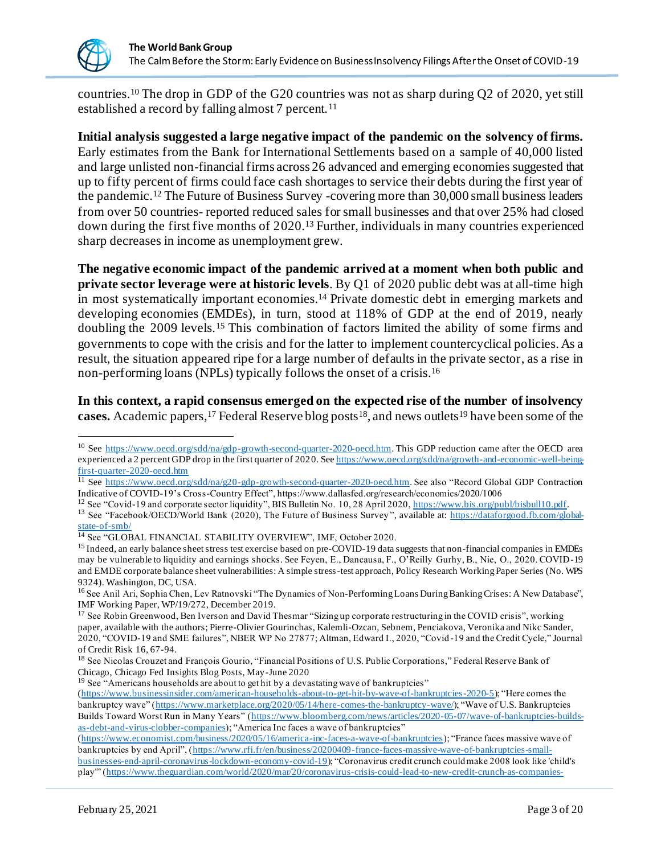

countries.<sup>10</sup> The drop in GDP of the G20 countries was not as sharp during Q2 of 2020, yet still established a record by falling almost 7 percent.<sup>11</sup>

**Initial analysis suggested a large negative impact of the pandemic on the solvency of firms.** Early estimates from the Bank for International Settlements based on a sample of 40,000 listed and large unlisted non-financial firms across 26 advanced and emerging economies suggested that up to fifty percent of firms could face cash shortages to service their debts during the first year of the pandemic. <sup>12</sup> The Future of Business Survey -covering more than 30,000 small business leaders from over 50 countries- reported reduced sales for small businesses and that over 25% had closed down during the first five months of 2020.<sup>13</sup> Further, individuals in many countries experienced sharp decreases in income as unemployment grew.

**The negative economic impact of the pandemic arrived at a moment when both public and private sector leverage were at historic levels**. By Q1 of 2020 public debt was at all-time high in most systematically important economies.<sup>14</sup> Private domestic debt in emerging markets and developing economies (EMDEs), in turn, stood at 118% of GDP at the end of 2019, nearly doubling the 2009 levels.<sup>15</sup> This combination of factors limited the ability of some firms and governments to cope with the crisis and for the latter to implement countercyclical policies. As a result, the situation appeared ripe for a large number of defaults in the private sector, as a rise in non-performing loans (NPLs) typically follows the onset of a crisis. 16

**In this context, a rapid consensus emerged on the expected rise of the number of insolvency**  cases. Academic papers, <sup>17</sup> Federal Reserve blog posts<sup>18</sup>, and news outlets<sup>19</sup> have been some of the

<sup>19</sup> See "Americans households are about to get hit by a devastating wave of bankruptcies"

<sup>&</sup>lt;sup>10</sup> See<https://www.oecd.org/sdd/na/gdp-growth-second-quarter-2020-oecd.htm>. This GDP reduction came after the OECD area experienced a 2 percent GDP drop in the first quarter of 2020. Se[e https://www.oecd.org/sdd/na/growth-and-economic-well-being](https://www.oecd.org/sdd/na/growth-and-economic-well-being-first-quarter-2020-oecd.htm)[first-quarter-2020-oecd.htm](https://www.oecd.org/sdd/na/growth-and-economic-well-being-first-quarter-2020-oecd.htm)

<sup>11</sup> See<https://www.oecd.org/sdd/na/g20-gdp-growth-second-quarter-2020-oecd.htm>. See also "Record Global GDP Contraction Indicative of COVID-19's Cross-Country Effect", https://www.dallasfed.org/research/economics/2020/1006

<sup>&</sup>lt;sup>12</sup> See "Covid-19 and corporate sector liquidity", BIS Bulletin No. 10, 28 April 2020[, https://www.bis.org/publ/bisbull10.pdf](https://www.bis.org/publ/bisbull10.pdf).

<sup>&</sup>lt;sup>13</sup> See "Facebook/OECD/World Bank (2020), The Future of Business Survey", available at[: https://dataforgood.fb.com/global](https://dataforgood.fb.com/global-state-of-smb/)[state-of-smb/](https://dataforgood.fb.com/global-state-of-smb/)

<sup>&</sup>lt;sup>14</sup> See "GLOBAL FINANCIAL STABILITY OVERVIEW", IMF, October 2020.

<sup>&</sup>lt;sup>15</sup> Indeed, an early balance sheet stress test exercise based on pre-COVID-19 data suggests that non-financial companies in EMDEs may be vulnerable to liquidity and earnings shocks. See Feyen, E., Dancausa, F., O'Reilly Gurhy, B., Nie, O., 2020. COVID-19 and EMDE corporate balance sheet vulnerabilities: A simple stress-test approach, Policy Research Working Paper Series (No. WPS 9324). Washington, DC, USA.

<sup>&</sup>lt;sup>16</sup> See Anil Ari, Sophia Chen, Lev Ratnovski "The Dynamics of Non-Performing Loans During Banking Crises: A New Database", IMF Working Paper, WP/19/272, December 2019.

<sup>&</sup>lt;sup>17</sup> See Robin Greenwood, Ben Iverson and David Thesmar "Sizing up corporate restructuring in the COVID crisis", working paper, available with the authors; Pierre-Olivier Gourinchas, Kalemli-Ozcan, Sebnem, Penciakova, Veronika and Nikc Sander, 2020, "COVID-19 and SME failures", NBER WP No 27877; Altman, Edward I., 2020, "Covid -19 and the Credit Cycle," Journal of Credit Risk 16, 67-94.

<sup>&</sup>lt;sup>18</sup> See Nicolas Crouzet and François Gourio, "Financial Positions of U.S. Public Corporations," Federal Reserve Bank of Chicago, Chicago Fed Insights Blog Posts, May-June 2020

[<sup>\(</sup>https://www.businessinsider.com/american-households-about-to-get-hit-by-wave-of-bankruptcies-2020-5](https://www.businessinsider.com/american-households-about-to-get-hit-by-wave-of-bankruptcies-2020-5)); "Here comes the bankruptcy wave" [\(https://www.marketplace.org/2020/05/14/here-comes-the-bankruptcy-wave/](https://www.marketplace.org/2020/05/14/here-comes-the-bankruptcy-wave/)); "Wave of U.S. Bankruptcies Builds Toward Worst Run in Many Years" [\(https://www.bloomberg.com/news/articles/2020-05-07/wave-of-bankruptcies-builds](https://www.bloomberg.com/news/articles/2020-05-07/wave-of-bankruptcies-builds-as-debt-and-virus-clobber-companies)[as-debt-and-virus-clobber-companies](https://www.bloomberg.com/news/articles/2020-05-07/wave-of-bankruptcies-builds-as-debt-and-virus-clobber-companies)); "America Inc faces a wave of bankruptcies"

[<sup>\(</sup>https://www.economist.com/business/2020/05/16/america-inc-faces-a-wave-of-bankruptcies](https://www.economist.com/business/2020/05/16/america-inc-faces-a-wave-of-bankruptcies)); "France faces massive wave of bankruptcies by end April", [\(https://www.rfi.fr/en/business/20200409-france-faces-massive-wave-of-bankruptcies-small](https://www.rfi.fr/en/business/20200409-france-faces-massive-wave-of-bankruptcies-small-businesses-end-april-coronavirus-lockdown-economy-covid-19)[businesses-end-april-coronavirus-lockdown-economy-covid-19](https://www.rfi.fr/en/business/20200409-france-faces-massive-wave-of-bankruptcies-small-businesses-end-april-coronavirus-lockdown-economy-covid-19)); "Coronavirus credit crunch could make 2008 look like 'child's play'" [\(https://www.theguardian.com/world/2020/mar/20/coronavirus-crisis-could-lead-to-new-credit-crunch-as-companies-](https://www.theguardian.com/world/2020/mar/20/coronavirus-crisis-could-lead-to-new-credit-crunch-as-companies-struggle-with-debt)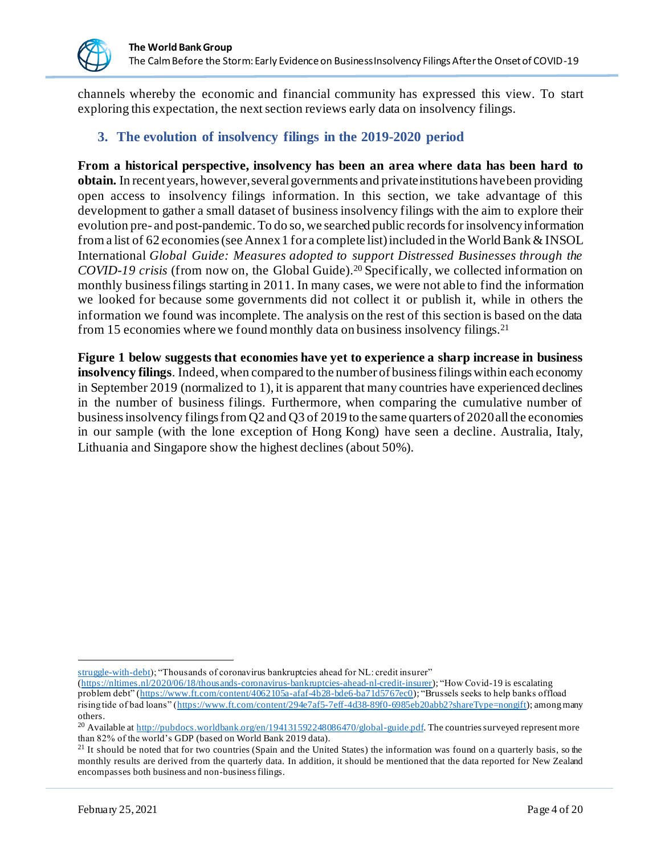

channels whereby the economic and financial community has expressed this view. To start exploring this expectation, the next section reviews early data on insolvency filings.

### **3. The evolution of insolvency filings in the 2019-2020 period**

**From a historical perspective, insolvency has been an area where data has been hard to obtain.** In recent years, however, several governments and private institutions have been providing open access to insolvency filings information. In this section, we take advantage of this development to gather a small dataset of business insolvency filings with the aim to explore their evolution pre- and post-pandemic. To do so, we searched public records for insolvencyinformation from a list of 62 economies (see Annex 1 for a complete list) included in the World Bank & INSOL International *Global Guide: Measures adopted to support Distressed Businesses through the COVID-19 crisis* (from now on, the Global Guide). <sup>20</sup> Specifically, we collected information on monthly business filings starting in 2011. In many cases, we were not able to find the information we looked for because some governments did not collect it or publish it, while in others the information we found was incomplete. The analysis on the rest of this section is based on the data from 15 economies where we found monthly data on business insolvency filings.<sup>21</sup>

**Figure 1 below suggests that economies have yet to experience a sharp increase in business insolvency filings**. Indeed, when compared to the number of business filings within each economy in September 2019 (normalized to 1), it is apparent that many countries have experienced declines in the number of business filings. Furthermore, when comparing the cumulative number of business insolvency filings from Q2 and Q3 of 2019 to the same quarters of 2020all the economies in our sample (with the lone exception of Hong Kong) have seen a decline. Australia, Italy, Lithuania and Singapore show the highest declines (about 50%).

[struggle-with-debt\)](https://www.theguardian.com/world/2020/mar/20/coronavirus-crisis-could-lead-to-new-credit-crunch-as-companies-struggle-with-debt); "Thousands of coronavirus bankruptcies ahead for NL: credit insurer"

[<sup>\(</sup>https://nltimes.nl/2020/06/18/thousands-coronavirus-bankruptcies-ahead-nl-credit-insurer](https://nltimes.nl/2020/06/18/thousands-coronavirus-bankruptcies-ahead-nl-credit-insurer)); "How Covid-19 is escalating problem debt" [\(https://www.ft.com/content/4062105a-afaf-4b28-bde6-ba71d5767ec0](https://www.ft.com/content/4062105a-afaf-4b28-bde6-ba71d5767ec0)); "Brussels seeks to help banks offload rising tide of bad loans" [\(https://www.ft.com/content/294e7af5-7eff-4d38-89f0-6985eb20abb2?shareType=nongift](https://www.ft.com/content/294e7af5-7eff-4d38-89f0-6985eb20abb2?shareType=nongift)); among many others.

<sup>&</sup>lt;sup>20</sup> Available a[t http://pubdocs.worldbank.org/en/194131592248086470/global-guide.pdf](http://pubdocs.worldbank.org/en/194131592248086470/global-guide.pdf). The countries surveyed represent more than 82% of the world's GDP (based on World Bank 2019 data).

 $21$  It should be noted that for two countries (Spain and the United States) the information was found on a quarterly basis, so the monthly results are derived from the quarterly data. In addition, it should be mentioned that the data reported for New Zealand encompasses both business and non-business filings.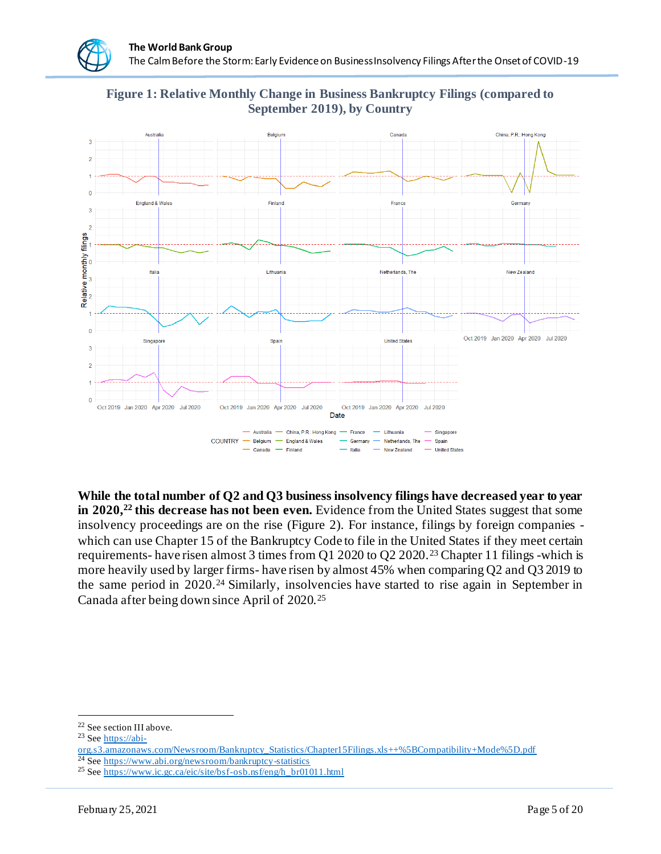**Figure 1: Relative Monthly Change in Business Bankruptcy Filings (compared to September 2019), by Country**



**While the total number of Q2 and Q3 business insolvency filings have decreased year to year in 2020,<sup>22</sup> this decrease has not been even.** Evidence from the United States suggest that some insolvency proceedings are on the rise (Figure 2). For instance, filings by foreign companies which can use Chapter 15 of the Bankruptcy Code to file in the United States if they meet certain requirements- have risen almost 3 times from Q1 2020 to Q2 2020.<sup>23</sup> Chapter 11 filings -which is more heavily used by larger firms- have risen by almost 45% when comparing Q2 and Q3 2019 to the same period in 2020.<sup>24</sup> Similarly, insolvencies have started to rise again in September in Canada after being down since April of 2020.<sup>25</sup>

<sup>22</sup> See section III above.

<sup>&</sup>lt;sup>23</sup> Se[e https://abi-](https://abi-org.s3.amazonaws.com/Newsroom/Bankruptcy_Statistics/Chapter15Filings.xls++%5BCompatibility+Mode%5D.pdf)

[org.s3.amazonaws.com/Newsroom/Bankruptcy\\_Statistics/Chapter15Filings.xls++%5BCompatibility+Mode%5D.pdf](https://abi-org.s3.amazonaws.com/Newsroom/Bankruptcy_Statistics/Chapter15Filings.xls++%5BCompatibility+Mode%5D.pdf) <sup>24</sup> Se[e https://www.abi.org/newsroom/bankruptcy-statistics](https://www.abi.org/newsroom/bankruptcy-statistics)

<sup>&</sup>lt;sup>25</sup> Se[e https://www.ic.gc.ca/eic/site/bsf-osb.nsf/eng/h\\_br01011.html](https://www.ic.gc.ca/eic/site/bsf-osb.nsf/eng/h_br01011.html)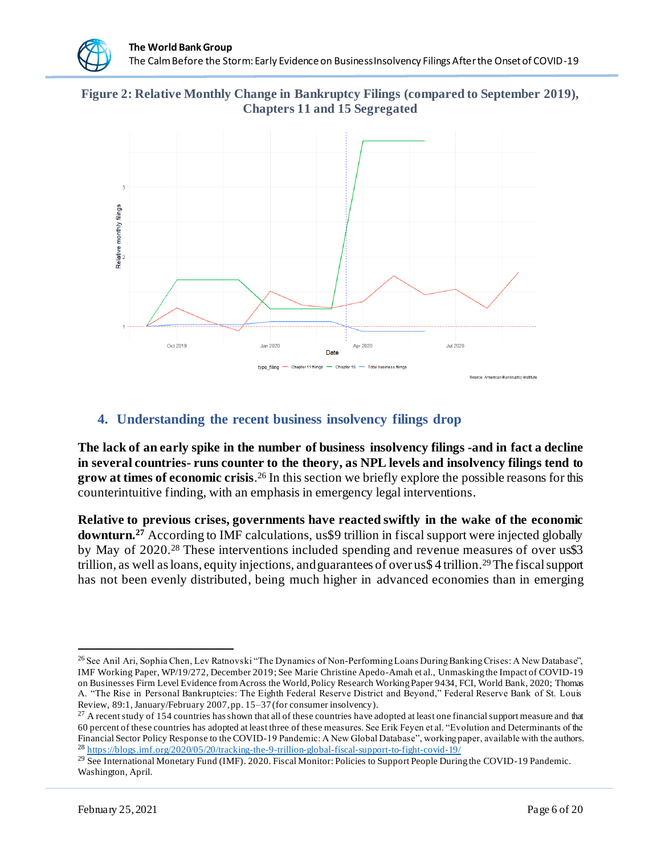**Figure 2: Relative Monthly Change in Bankruptcy Filings (compared to September 2019), Chapters 11 and 15 Segregated**



#### **4. Understanding the recent business insolvency filings drop**

**The lack of an early spike in the number of business insolvency filings -and in fact a decline in several countries- runs counter to the theory, as NPL levels and insolvency filings tend to grow at times of economic crisis**. <sup>26</sup> In this section we briefly explore the possible reasons for this counterintuitive finding, with an emphasis in emergency legal interventions.

**Relative to previous crises, governments have reacted swiftly in the wake of the economic downturn.<sup>27</sup>** According to IMF calculations, us\$9 trillion in fiscal support were injected globally by May of 2020.<sup>28</sup> These interventions included spending and revenue measures of over us\$3 trillion, as well asloans, equity injections, and guarantees of over us\$ 4 trillion.29The fiscal support has not been evenly distributed, being much higher in advanced economies than in emerging

<sup>&</sup>lt;sup>26</sup> See Anil Ari, Sophia Chen, Lev Ratnovski "The Dynamics of Non-Performing Loans During Banking Crises: A New Database", IMF Working Paper, WP/19/272, December 2019; See Marie Christine Apedo-Amah et al., Unmasking the Impact of COVID-19 on Businesses Firm Level Evidence from Across the World, Policy Research Working Paper 9434, FCI, World Bank, 2020; Thomas A. "The Rise in Personal Bankruptcies: The Eighth Federal Reserve District and Beyond," Federal Reserve Bank of St. Louis Review, 89:1, January/February 2007, pp. 15–37 (for consumer insolvency).

 $27$  A recent study of 154 countries has shown that all of these countries have adopted at least one financial support measure and that 60 percent of these countries has adopted at least three of these measures. See Erik Feyen et al. "Evolution and Determinants of the Financial Sector Policy Response to the COVID-19 Pandemic: A New Global Database", working paper, available with the authors. <sup>28</sup> <https://blogs.imf.org/2020/05/20/tracking-the-9-trillion-global-fiscal-support-to-fight-covid-19/>

<sup>&</sup>lt;sup>29</sup> See International Monetary Fund (IMF). 2020. Fiscal Monitor: Policies to Support People During the COVID-19 Pandemic. Washington, April.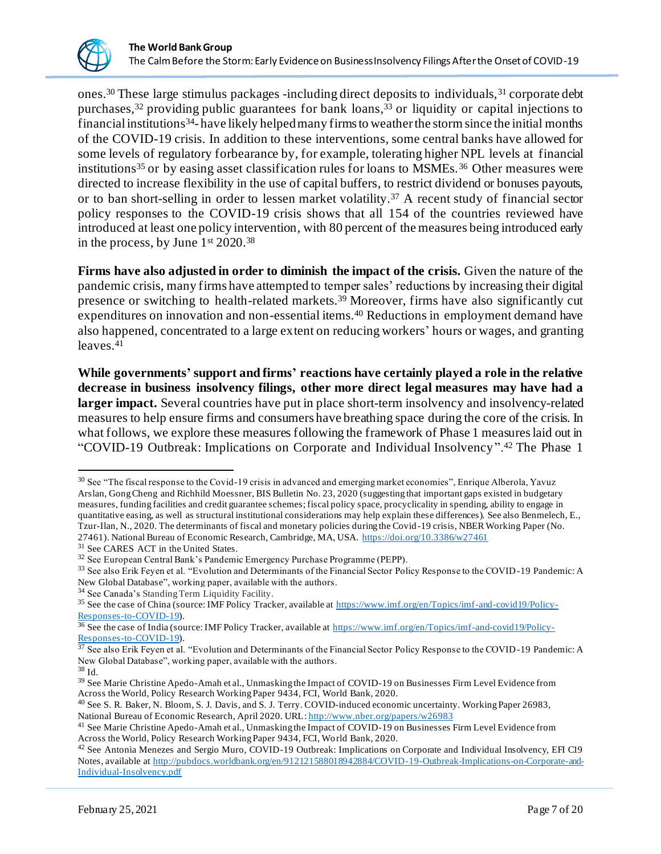

ones.<sup>30</sup> These large stimulus packages -including direct deposits to individuals,<sup>31</sup> corporate debt purchases,<sup>32</sup> providing public guarantees for bank loans,<sup>33</sup> or liquidity or capital injections to financial institutions<sup>34</sup>-have likely helped many firms to weather the storm since the initial months of the COVID-19 crisis. In addition to these interventions, some central banks have allowed for some levels of regulatory forbearance by, for example, tolerating higher NPL levels at financial institutions<sup>35</sup> or by easing asset classification rules for loans to MSMEs.<sup>36</sup> Other measures were directed to increase flexibility in the use of capital buffers, to restrict dividend or bonuses payouts, or to ban short-selling in order to lessen market volatility.<sup>37</sup> A recent study of financial sector policy responses to the COVID-19 crisis shows that all 154 of the countries reviewed have introduced at least one policy intervention, with 80 percent of the measures being introduced early in the process, by June  $1<sup>st</sup> 2020.<sup>38</sup>$ 

**Firms have also adjusted in order to diminish the impact of the crisis.** Given the nature of the pandemic crisis, many firms have attempted to temper sales' reductions by increasing their digital presence or switching to health-related markets.<sup>39</sup> Moreover, firms have also significantly cut expenditures on innovation and non-essential items.<sup>40</sup> Reductions in employment demand have also happened, concentrated to a large extent on reducing workers' hours or wages, and granting leaves.<sup>41</sup>

**While governments' support and firms' reactions have certainly played a role in the relative decrease in business insolvency filings, other more direct legal measures may have had a larger impact.** Several countries have put in place short-term insolvency and insolvency-related measures to help ensure firms and consumers have breathing space during the core of the crisis. In what follows, we explore these measures following the framework of Phase 1 measures laid out in "COVID-19 Outbreak: Implications on Corporate and Individual Insolvency".<sup>42</sup> The Phase 1

<sup>38</sup> Id.

<sup>&</sup>lt;sup>30</sup> See "The fiscal response to the Covid-19 crisis in advanced and emerging market economies", Enrique Alberola, Yavuz Arslan, Gong Cheng and Richhild Moessner, BIS Bulletin No. 23, 2020 (suggesting that important gaps existed in budgetary measures, funding facilities and credit guarantee schemes; fiscal policy space, procyclicality in spending, ability to engage in quantitative easing, as well as structural institutional considerations may help explain these differences). See also Benmelech, E., Tzur-Ilan, N., 2020. The determinants of fiscal and monetary policies during the Covid -19 crisis, NBER Working Paper (No. 27461). National Bureau of Economic Research, Cambridge, MA, USA.<https://doi.org/10.3386/w27461>

<sup>&</sup>lt;sup>31</sup> See CARES ACT in the United States.

<sup>32</sup> See European Central Bank's Pandemic Emergency Purchase Programme (PEPP).

<sup>&</sup>lt;sup>33</sup> See also Erik Feyen et al. "Evolution and Determinants of the Financial Sector Policy Response to the COVID-19 Pandemic: A New Global Database", working paper, available with the authors.

<sup>34</sup> See Canada's Standing Term Liquidity Facility.

<sup>&</sup>lt;sup>35</sup> See the case of China (source: IMF Policy Tracker, available a[t https://www.imf.org/en/Topics/imf-and-covid19/Policy-](https://www.imf.org/en/Topics/imf-and-covid19/Policy-Responses-to-COVID-19)[Responses-to-COVID-19\)](https://www.imf.org/en/Topics/imf-and-covid19/Policy-Responses-to-COVID-19).

<sup>&</sup>lt;sup>36</sup> See the case of India (source: IMF Policy Tracker, available a[t https://www.imf.org/en/Topics/imf-and-covid19/Policy-](https://www.imf.org/en/Topics/imf-and-covid19/Policy-Responses-to-COVID-19)[Responses-to-COVID-19\)](https://www.imf.org/en/Topics/imf-and-covid19/Policy-Responses-to-COVID-19).

 $37$  See also Erik Feyen et al. "Evolution and Determinants of the Financial Sector Policy Response to the COVID-19 Pandemic: A New Global Database", working paper, available with the authors.

<sup>&</sup>lt;sup>39</sup> See Marie Christine Apedo-Amah et al., Unmasking the Impact of COVID-19 on Businesses Firm Level Evidence from Across the World, Policy Research Working Paper 9434, FCI, World Bank, 2020.

<sup>40</sup> See S. R. Baker, N. Bloom, S. J. Davis, and S. J. Terry. COVID-induced economic uncertainty. Working Paper 26983, National Bureau of Economic Research, April 2020. URL: <http://www.nber.org/papers/w26983>

<sup>&</sup>lt;sup>41</sup> See Marie Christine Apedo-Amah et al., Unmasking the Impact of COVID-19 on Businesses Firm Level Evidence from Across the World, Policy Research Working Paper 9434, FCI, World Bank, 2020.

<sup>42</sup> See Antonia Menezes and Sergio Muro, COVID-19 Outbreak: Implications on Corporate and Individual Insolvency, EFI C19 Notes, available a[t http://pubdocs.worldbank.org/en/912121588018942884/COVID-19-Outbreak-Implications-on-Corporate-and-](http://pubdocs.worldbank.org/en/912121588018942884/COVID-19-Outbreak-Implications-on-Corporate-and-Individual-Insolvency.pdf)[Individual-Insolvency.pdf](http://pubdocs.worldbank.org/en/912121588018942884/COVID-19-Outbreak-Implications-on-Corporate-and-Individual-Insolvency.pdf)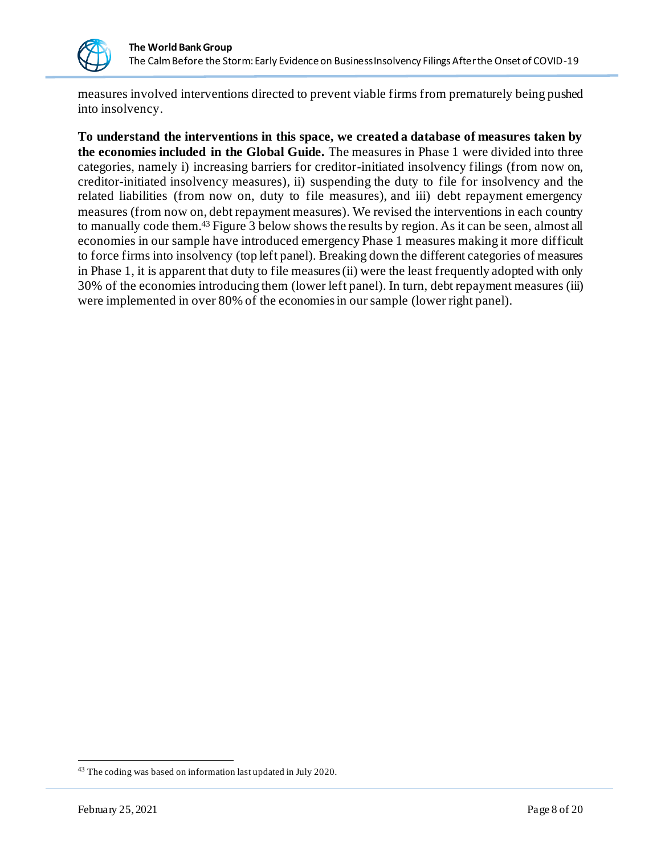

measures involved interventions directed to prevent viable firms from prematurely being pushed into insolvency.

**To understand the interventions in this space, we created a database of measures taken by the economies included in the Global Guide.** The measures in Phase 1 were divided into three categories, namely i) increasing barriers for creditor-initiated insolvency filings (from now on, creditor-initiated insolvency measures), ii) suspending the duty to file for insolvency and the related liabilities (from now on, duty to file measures), and iii) debt repayment emergency measures (from now on, debt repayment measures). We revised the interventions in each country to manually code them.<sup>43</sup> Figure 3 below shows the results by region. As it can be seen, almost all economies in our sample have introduced emergency Phase 1 measures making it more difficult to force firms into insolvency (top left panel). Breaking down the different categories of measures in Phase 1, it is apparent that duty to file measures (ii) were the least frequently adopted with only 30% of the economies introducing them (lower left panel). In turn, debt repayment measures (iii) were implemented in over 80% of the economies in our sample (lower right panel).

<sup>&</sup>lt;sup>43</sup> The coding was based on information last updated in July 2020.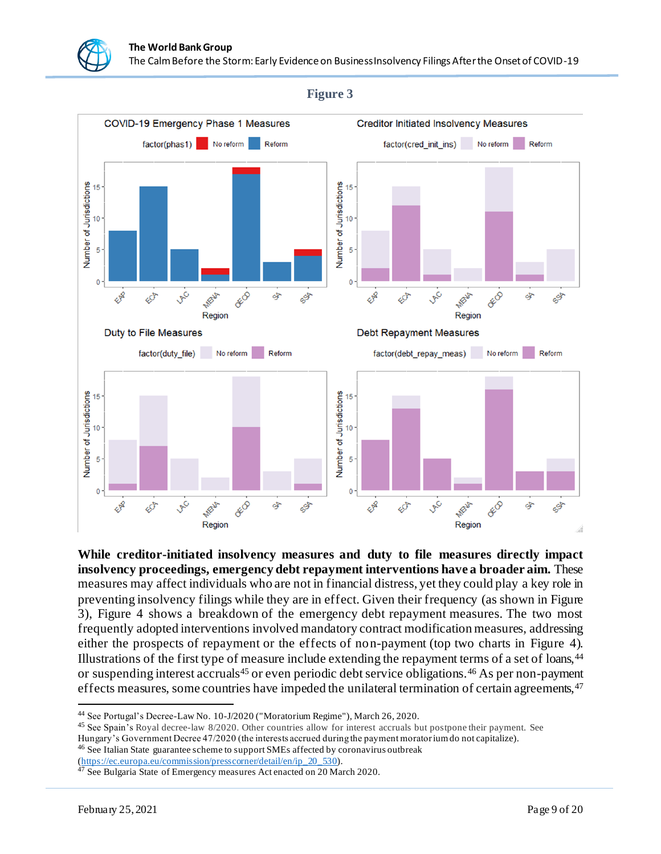

**While creditor-initiated insolvency measures and duty to file measures directly impact insolvency proceedings, emergency debt repayment interventions have a broader aim.** These measures may affect individuals who are not in financial distress, yet they could play a key role in preventing insolvency filings while they are in effect. Given their frequency (as shown in Figure 3), Figure 4 shows a breakdown of the emergency debt repayment measures. The two most frequently adopted interventions involved mandatory contract modification measures, addressing either the prospects of repayment or the effects of non-payment (top two charts in Figure 4). Illustrations of the first type of measure include extending the repayment terms of a set of loans,<sup>44</sup> or suspending interest accruals<sup>45</sup> or even periodic debt service obligations.<sup>46</sup> As per non-payment effects measures, some countries have impeded the unilateral termination of certain agreements, <sup>47</sup>

<sup>45</sup> See Spain's Royal decree-law 8/2020. Other countries allow for interest accruals but postpone their payment. See

[\(https://ec.europa.eu/commission/presscorner/detail/en/ip\\_20\\_530](https://ec.europa.eu/commission/presscorner/detail/en/ip_20_530)).

<sup>44</sup> See Portugal's Decree-Law No. 10-J/2020 ("Moratorium Regime"), March 26, 2020.

Hungary's Government Decree 47/2020 (the interests accrued during the payment moratorium do not capitalize). <sup>46</sup> See Italian State guarantee scheme to support SMEs affected by coronavirus outbreak

<sup>&</sup>lt;sup>47</sup> See Bulgaria State of Emergency measures Act enacted on 20 March 2020.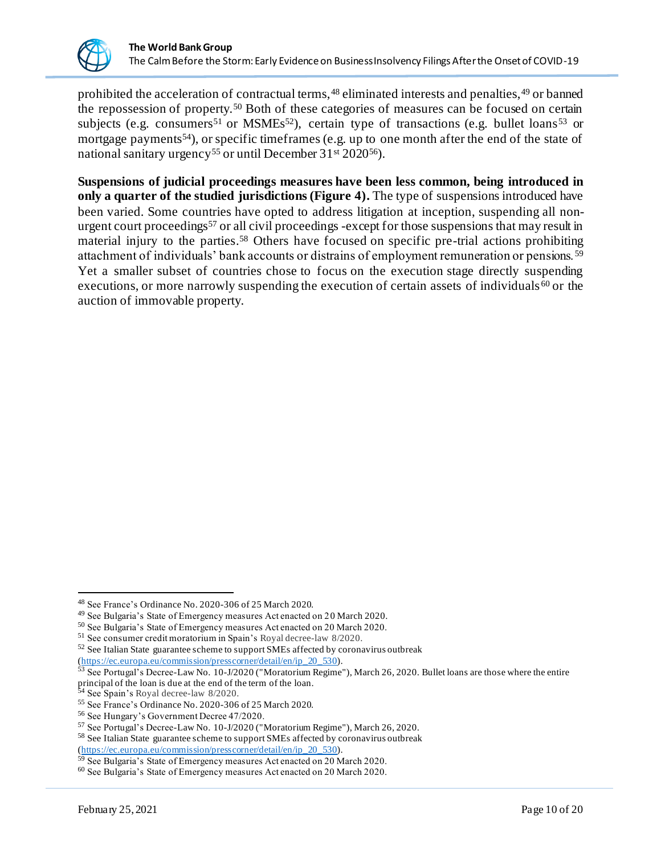

prohibited the acceleration of contractual terms,<sup>48</sup> eliminated interests and penalties,<sup>49</sup> or banned the repossession of property.<sup>50</sup> Both of these categories of measures can be focused on certain subjects (e.g. consumers<sup>51</sup> or MSMEs<sup>52</sup>), certain type of transactions (e.g. bullet loans<sup>53</sup> or mortgage payments<sup>54</sup>), or specific timeframes (e.g. up to one month after the end of the state of national sanitary urgency<sup>55</sup> or until December 31<sup>st</sup> 2020<sup>56</sup>).

**Suspensions of judicial proceedings measures have been less common, being introduced in only a quarter of the studied jurisdictions (Figure 4).** The type of suspensions introduced have been varied. Some countries have opted to address litigation at inception, suspending all nonurgent court proceedings<sup>57</sup> or all civil proceedings -except for those suspensions that may result in material injury to the parties. <sup>58</sup> Others have focused on specific pre-trial actions prohibiting attachment of individuals' bank accounts or distrains of employment remuneration or pensions. <sup>59</sup> Yet a smaller subset of countries chose to focus on the execution stage directly suspending executions, or more narrowly suspending the execution of certain assets of individuals<sup>60</sup> or the auction of immovable property.

<sup>48</sup> See France's Ordinance No. 2020-306 of 25 March 2020.

<sup>49</sup> See Bulgaria's State of Emergency measures Act enacted on 20 March 2020.

<sup>50</sup> See Bulgaria's State of Emergency measures Act enacted on 20 March 2020.

<sup>51</sup> See consumer credit moratorium in Spain's Royal decree-law 8/2020.

<sup>52</sup> See Italian State guarantee scheme to support SMEs affected by coronavirus outbreak [\(https://ec.europa.eu/commission/presscorner/detail/en/ip\\_20\\_530](https://ec.europa.eu/commission/presscorner/detail/en/ip_20_530)).

<sup>53</sup> See Portugal's Decree-Law No. 10-J/2020 ("Moratorium Regime"), March 26, 2020. Bullet loans are those where the entire principal of the loan is due at the end of the term of the loan.

<sup>54</sup> See Spain's Royal decree-law 8/2020.

<sup>55</sup> See France's Ordinance No. 2020-306 of 25 March 2020.

<sup>56</sup> See Hungary's Government Decree 47/2020.

<sup>57</sup> See Portugal's Decree-Law No. 10-J/2020 ("Moratorium Regime"), March 26, 2020.

<sup>58</sup> See Italian State guarantee scheme to support SMEs affected by coronavirus outbreak

[<sup>\(</sup>https://ec.europa.eu/commission/presscorner/detail/en/ip\\_20\\_530](https://ec.europa.eu/commission/presscorner/detail/en/ip_20_530)).

 $59$  See Bulgaria's State of Emergency measures Act enacted on 20 March 2020.

<sup>60</sup> See Bulgaria's State of Emergency measures Act enacted on 20 March 2020.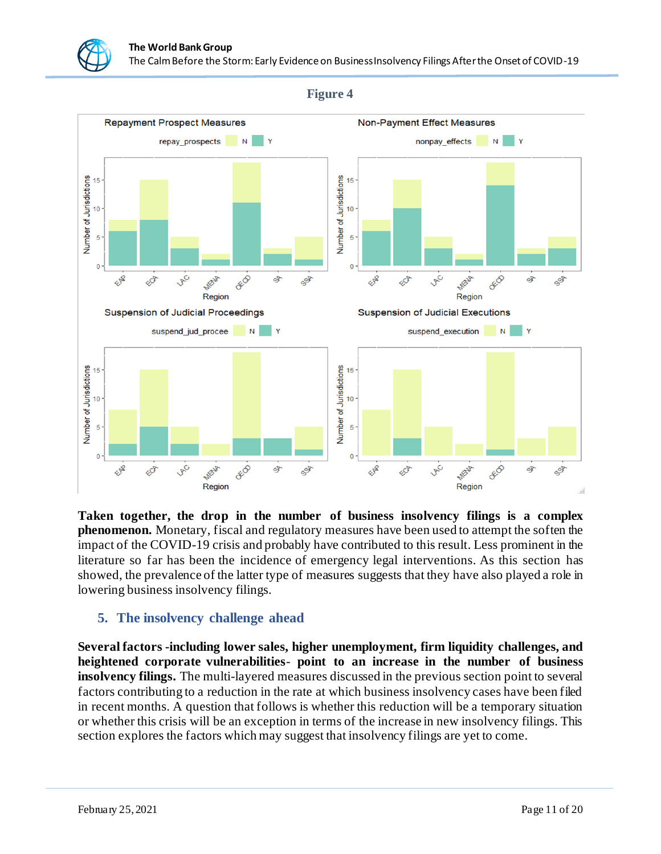

**Figure 4**

**Taken together, the drop in the number of business insolvency filings is a complex phenomenon.** Monetary, fiscal and regulatory measures have been used to attempt the soften the impact of the COVID-19 crisis and probably have contributed to this result. Less prominent in the literature so far has been the incidence of emergency legal interventions. As this section has showed, the prevalence of the latter type of measures suggests that they have also played a role in lowering business insolvency filings.

## **5. The insolvency challenge ahead**

**Several factors -including lower sales, higher unemployment, firm liquidity challenges, and heightened corporate vulnerabilities**- **point to an increase in the number of business insolvency filings.** The multi-layered measures discussed in the previous section point to several factors contributing to a reduction in the rate at which business insolvency cases have been filed in recent months. A question that follows is whether this reduction will be a temporary situation or whether this crisis will be an exception in terms of the increase in new insolvency filings. This section explores the factors which may suggest that insolvency filings are yet to come.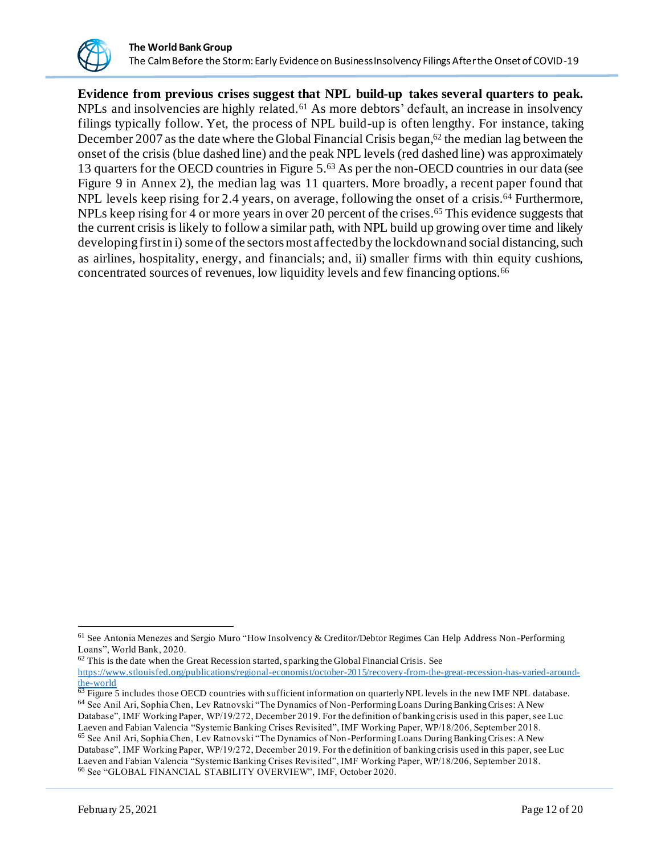

**Evidence from previous crises suggest that NPL build-up takes several quarters to peak.**  $NPLs$  and insolvencies are highly related.<sup>61</sup> As more debtors' default, an increase in insolvency filings typically follow. Yet, the process of NPL build-up is often lengthy. For instance, taking December 2007 as the date where the Global Financial Crisis began, $62$  the median lag between the onset of the crisis (blue dashed line) and the peak NPL levels (red dashed line) was approximately 13 quarters for the OECD countries in Figure 5. <sup>63</sup> As per the non-OECD countries in our data (see Figure 9 in Annex 2), the median lag was 11 quarters. More broadly, a recent paper found that NPL levels keep rising for 2.4 years, on average, following the onset of a crisis.<sup>64</sup> Furthermore, NPLs keep rising for 4 or more years in over 20 percent of the crises. <sup>65</sup> This evidence suggests that the current crisis is likely to follow a similar path, with NPL build up growing over time and likely developingfirstin i) some of the sectors most affected by the lockdown and social distancing, such as airlines, hospitality, energy, and financials; and, ii) smaller firms with thin equity cushions, concentrated sources of revenues, low liquidity levels and few financing options.<sup>66</sup>

 $62$  This is the date when the Great Recession started, sparking the Global Financial Crisis. See [https://www.stlouisfed.org/publications/regional-economist/october-2015/recovery-from-the-great-recession-has-varied-around-](https://www.stlouisfed.org/publications/regional-economist/october-2015/recovery-from-the-great-recession-has-varied-around-the-world)

<sup>&</sup>lt;sup>61</sup> See Antonia Menezes and Sergio Muro "How Insolvency & Creditor/Debtor Regimes Can Help Address Non-Performing Loans", World Bank, 2020.

[the-world](https://www.stlouisfed.org/publications/regional-economist/october-2015/recovery-from-the-great-recession-has-varied-around-the-world)

 $^{63}$  Figure 5 includes those OECD countries with sufficient information on quarterly NPL levels in the new IMF NPL database. <sup>64</sup> See Anil Ari, Sophia Chen, Lev Ratnovski "The Dynamics of Non-Performing Loans During Banking Crises: A New Database", IMF Working Paper, WP/19/272, December 2019. For the definition of banking crisis used in this paper, see Luc Laeven and Fabian Valencia "Systemic Banking Crises Revisited", IMF Working Paper, WP/18/206, September 2018. <sup>65</sup> See Anil Ari, Sophia Chen, Lev Ratnovski "The Dynamics of Non-Performing Loans During Banking Crises: A New Database", IMF Working Paper, WP/19/272, December 2019. For the definition of banking crisis used in this paper, see Luc Laeven and Fabian Valencia "Systemic Banking Crises Revisited", IMF Working Paper, WP/18/206, September 2018. <sup>66</sup> See "GLOBAL FINANCIAL STABILITY OVERVIEW", IMF, October 2020.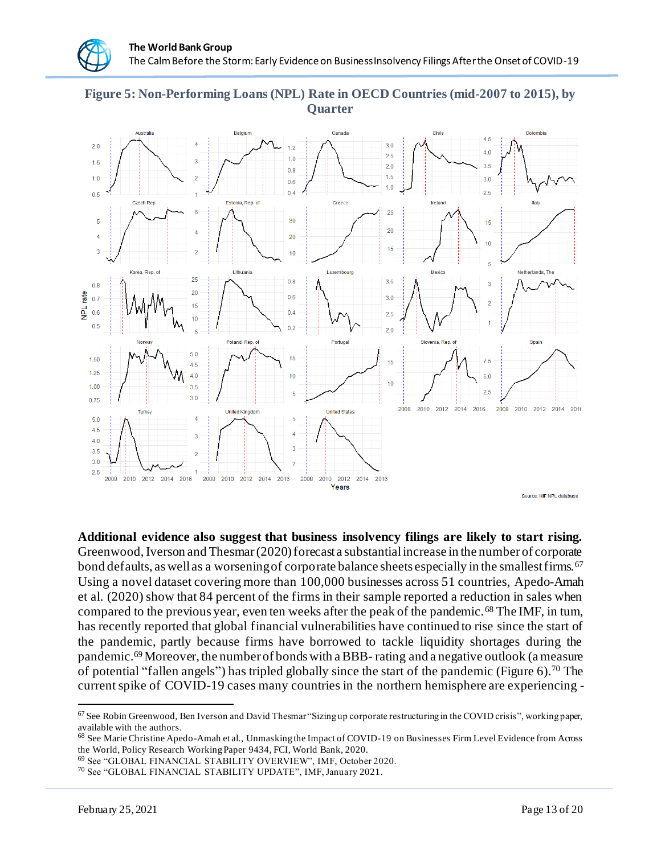#### **Figure 5: Non-Performing Loans (NPL) Rate in OECD Countries (mid-2007 to 2015), by Quarter**



**Additional evidence also suggest that business insolvency filings are likely to start rising.**  Greenwood, Iverson and Thesmar (2020) forecast a substantial increase in the number of corporate bond defaults, as well as a worsening of corporate balance sheets especially in the smallest firms.<sup>67</sup> Using a novel dataset covering more than 100,000 businesses across 51 countries, Apedo-Amah et al. (2020) show that 84 percent of the firms in their sample reported a reduction in sales when compared to the previous year, even ten weeks after the peak of the pandemic.<sup>68</sup> The IMF, in turn, has recently reported that global financial vulnerabilities have continued to rise since the start of the pandemic, partly because firms have borrowed to tackle liquidity shortages during the pandemic.69Moreover, the number of bonds with a BBB- rating and a negative outlook (a measure of potential "fallen angels") has tripled globally since the start of the pandemic (Figure 6). <sup>70</sup> The current spike of COVID-19 cases many countries in the northern hemisphere are experiencing -

<sup>&</sup>lt;sup>67</sup> See Robin Greenwood, Ben Iverson and David Thesmar "Sizing up corporate restructuring in the COVID crisis", working paper, available with the authors.

<sup>68</sup> See Marie Christine Apedo-Amah et al., Unmasking the Impact of COVID-19 on Businesses Firm Level Evidence from Across the World, Policy Research Working Paper 9434, FCI, World Bank, 2020.

<sup>69</sup> See "GLOBAL FINANCIAL STABILITY OVERVIEW", IMF, October 2020.

<sup>70</sup> See "GLOBAL FINANCIAL STABILITY UPDATE", IMF, January 2021.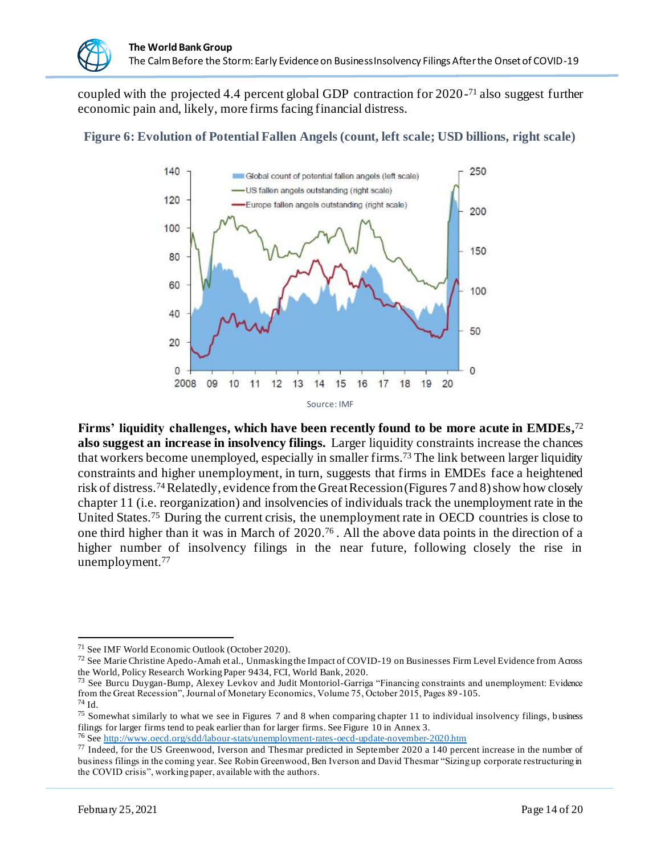coupled with the projected 4.4 percent global GDP contraction for 2020- <sup>71</sup> also suggest further economic pain and, likely, more firms facing financial distress.



**Figure 6: Evolution of Potential Fallen Angels (count, left scale; USD billions, right scale)**

**Firms' liquidity challenges, which have been recently found to be more acute in EMDEs,** 72 **also suggest an increase in insolvency filings.** Larger liquidity constraints increase the chances that workers become unemployed, especially in smaller firms.<sup>73</sup> The link between larger liquidity constraints and higher unemployment, in turn, suggests that firms in EMDEs face a heightened risk of distress.74Relatedly, evidence from the Great Recession (Figures 7 and 8) show how closely chapter 11 (i.e. reorganization) and insolvencies of individuals track the unemployment rate in the United States.<sup>75</sup> During the current crisis, the unemployment rate in OECD countries is close to one third higher than it was in March of 2020. 76 . All the above data points in the direction of a higher number of insolvency filings in the near future, following closely the rise in unemployment.<sup>77</sup>

 $^{74}$  Id.

<sup>71</sup> See IMF World Economic Outlook (October 2020).

<sup>72</sup> See Marie Christine Apedo-Amah et al., Unmasking the Impact of COVID-19 on Businesses Firm Level Evidence from Across the World, Policy Research Working Paper 9434, FCI, World Bank, 2020.

<sup>&</sup>lt;sup>73</sup> See Burcu Duygan-Bump, Alexey Levkov and Judit Montoriol-Garriga "Financing constraints and unemployment: Evidence from the Great Recession", Journal of Monetary Economics, Volume 75, October 2015, Pages 89 -105.

<sup>&</sup>lt;sup>75</sup> Somewhat similarly to what we see in Figures 7 and 8 when comparing chapter 11 to individual insolvency filings, business filings for larger firms tend to peak earlier than for larger firms. See Figure 10 in Annex 3.

<sup>76</sup> Se[e http://www.oecd.org/sdd/labour-stats/unemployment-rates-oecd-update-november-2020.htm](http://www.oecd.org/sdd/labour-stats/unemployment-rates-oecd-update-november-2020.htm)

<sup>77</sup> Indeed, for the US Greenwood, Iverson and Thesmar predicted in September 2020 a 140 percent increase in the number of business filings in the coming year. See Robin Greenwood, Ben Iverson and David Thesmar "Sizing up corporate restructuring in the COVID crisis", working paper, available with the authors.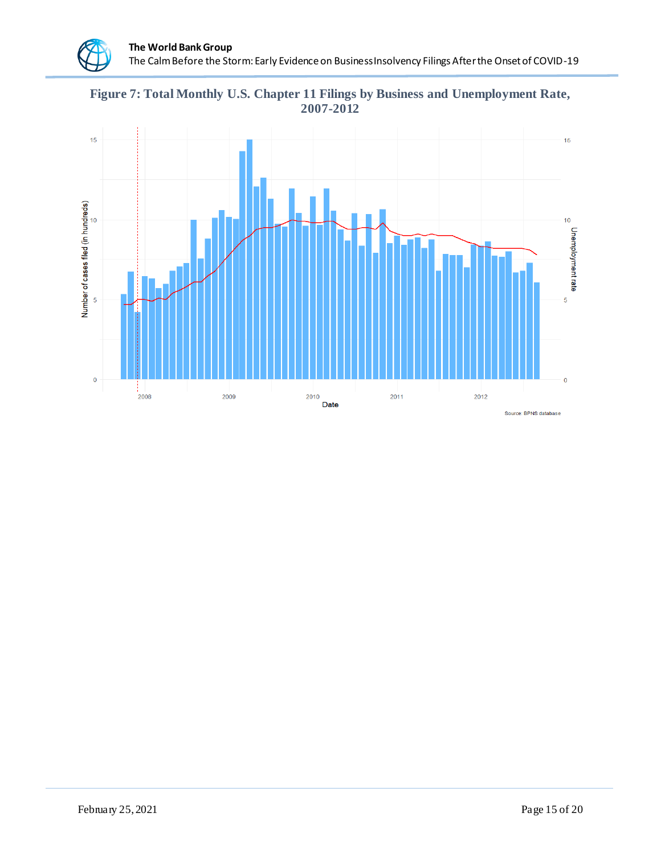**Figure 7: Total Monthly U.S. Chapter 11 Filings by Business and Unemployment Rate, 2007-2012**

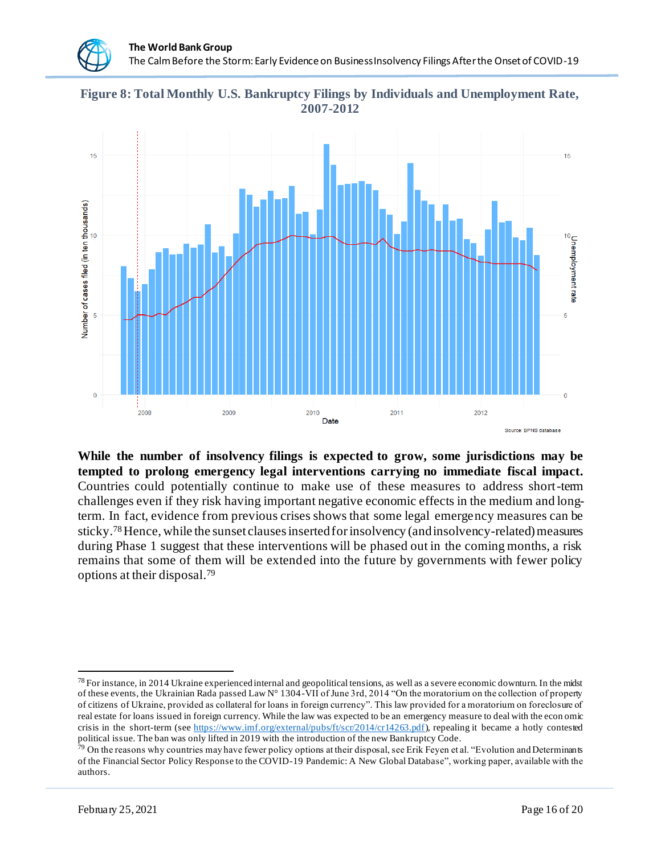**Figure 8: Total Monthly U.S. Bankruptcy Filings by Individuals and Unemployment Rate, 2007-2012**



**While the number of insolvency filings is expected to grow, some jurisdictions may be tempted to prolong emergency legal interventions carrying no immediate fiscal impact.**  Countries could potentially continue to make use of these measures to address short-term challenges even if they risk having important negative economic effects in the medium and longterm. In fact, evidence from previous crises shows that some legal emergency measures can be sticky.78Hence, while the sunset clauses inserted for insolvency (and insolvency-related) measures during Phase 1 suggest that these interventions will be phased out in the coming months, a risk remains that some of them will be extended into the future by governments with fewer policy options at their disposal. 79

 $^{78}$  For instance, in 2014 Ukraine experienced internal and geopolitical tensions, as well as a severe economic downturn. In the midst of these events, the Ukrainian Rada passed Law N° 1304-VII of June 3rd, 2014 "On the moratorium on the collection of property of citizens of Ukraine, provided as collateral for loans in foreign currency". This law provided for a moratorium on foreclosure of real estate for loans issued in foreign currency. While the law was expected to be an emergency measure to deal with the econ omic crisis in the short-term (se[e https://www.imf.org/external/pubs/ft/scr/2014/cr14263.pdf](https://www.imf.org/external/pubs/ft/scr/2014/cr14263.pdf)), repealing it became a hotly contested political issue. The ban was only lifted in 2019 with the introduction of the new Bankruptcy Code.

<sup>&</sup>lt;sup>79</sup> On the reasons why countries may have fewer policy options at their disposal, see Erik Feyen et al. "Evolution and Determinants of the Financial Sector Policy Response to the COVID-19 Pandemic: A New Global Database", working paper, available with the authors.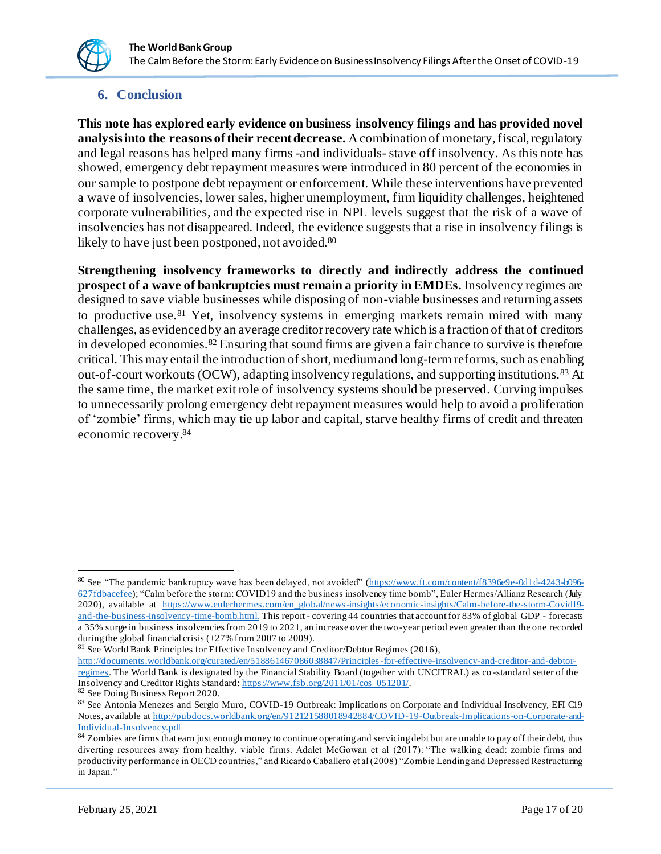#### **6. Conclusion**

**This note has explored early evidence on business insolvency filings and has provided novel analysis into the reasons of their recent decrease.** A combination of monetary, fiscal, regulatory and legal reasons has helped many firms -and individuals- stave off insolvency. As this note has showed, emergency debt repayment measures were introduced in 80 percent of the economies in our sample to postpone debt repayment or enforcement. While these interventions have prevented a wave of insolvencies, lower sales, higher unemployment, firm liquidity challenges, heightened corporate vulnerabilities, and the expected rise in NPL levels suggest that the risk of a wave of insolvencies has not disappeared. Indeed, the evidence suggests that a rise in insolvency filings is likely to have just been postponed, not avoided.<sup>80</sup>

**Strengthening insolvency frameworks to directly and indirectly address the continued prospect of a wave of bankruptcies must remain a priority in EMDEs.** Insolvency regimes are designed to save viable businesses while disposing of non-viable businesses and returning assets to productive use.<sup>81</sup> Yet, insolvency systems in emerging markets remain mired with many challenges, as evidenced by an average creditor recovery rate which is a fraction of that of creditors in developed economies.<sup>82</sup> Ensuring that sound firms are given a fair chance to survive is therefore critical. This may entail the introduction of short, medium and long-term reforms, such as enabling out-of-court workouts (OCW), adapting insolvency regulations, and supporting institutions.<sup>83</sup> At the same time, the market exit role of insolvency systems should be preserved. Curving impulses to unnecessarily prolong emergency debt repayment measures would help to avoid a proliferation of 'zombie' firms, which may tie up labor and capital, starve healthy firms of credit and threaten economic recovery. 84

 $81$  See World Bank Principles for Effective Insolvency and Creditor/Debtor Regimes (2016),

<sup>80</sup> See "The pandemic bankruptcy wave has been delayed, not avoided" [\(https://www.ft.com/content/f8396e9e-0d1d-4243-b096-](https://www.ft.com/content/f8396e9e-0d1d-4243-b096-627fdbacefee) [627fdbacefee\)](https://www.ft.com/content/f8396e9e-0d1d-4243-b096-627fdbacefee); "Calm before the storm: COVID19 and the business insolvency time bomb", Euler Hermes/Allianz Research (July 2020), available at [https://www.eulerhermes.com/en\\_global/news-insights/economic-insights/Calm-before-the-storm-Covid19](https://www.eulerhermes.com/en_global/news-insights/economic-insights/Calm-before-the-storm-Covid19-and-the-business-insolvency-time-bomb.html) [and-the-business-insolvency-time-bomb.html](https://www.eulerhermes.com/en_global/news-insights/economic-insights/Calm-before-the-storm-Covid19-and-the-business-insolvency-time-bomb.html). This report - covering 44 countries that account for 83% of global GDP - forecasts a 35% surge in business insolvencies from 2019 to 2021, an increase over the two -year period even greater than the one recorded during the global financial crisis (+27% from 2007 to 2009).

[http://documents.worldbank.org/curated/en/518861467086038847/Principles-for-effective-insolvency-and-creditor-and-debtor](http://documents.worldbank.org/curated/en/518861467086038847/Principles-for-effective-insolvency-and-creditor-and-debtor-regimes)[regimes.](http://documents.worldbank.org/curated/en/518861467086038847/Principles-for-effective-insolvency-and-creditor-and-debtor-regimes) The World Bank is designated by the Financial Stability Board (together with UNCITRAL) as co -standard setter of the Insolvency and Creditor Rights Standard[: https://www.fsb.org/2011/01/cos\\_051201/](https://www.fsb.org/2011/01/cos_051201/).

<sup>82</sup> See Doing Business Report 2020.

<sup>83</sup> See Antonia Menezes and Sergio Muro, COVID-19 Outbreak: Implications on Corporate and Individual Insolvency, EFI C19 Notes, available a[t http://pubdocs.worldbank.org/en/912121588018942884/COVID-19-Outbreak-Implications-on-Corporate-and-](http://pubdocs.worldbank.org/en/912121588018942884/COVID-19-Outbreak-Implications-on-Corporate-and-Individual-Insolvency.pdf)[Individual-Insolvency.pdf](http://pubdocs.worldbank.org/en/912121588018942884/COVID-19-Outbreak-Implications-on-Corporate-and-Individual-Insolvency.pdf)

<sup>84</sup> Zombies are firms that earn just enough money to continue operating and servicing debt but are unable to pay off their debt, thus diverting resources away from healthy, viable firms. Adalet McGowan et al (2017): "The walking dead: zombie firms and productivity performance in OECD countries," and Ricardo Caballero et al (2008) "Zombie Lending and Depressed Restructuring in Japan."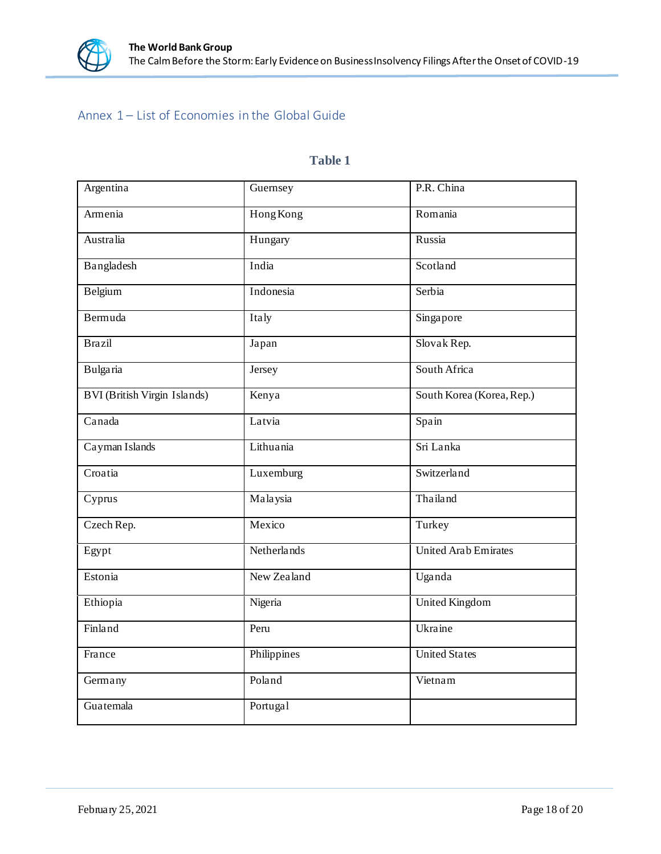

# Annex 1 – List of Economies in the Global Guide

### **Table 1**

| Argentina                           | Guernsey    | P.R. China                  |
|-------------------------------------|-------------|-----------------------------|
| Armenia                             | Hong Kong   | Romania                     |
| Australia                           | Hungary     | Russia                      |
| Bangladesh                          | India       | Scotland                    |
| Belgium                             | Indonesia   | Serbia                      |
| Bermuda                             | Italy       | Singapore                   |
| Brazil                              | Japan       | Slovak Rep.                 |
| Bulgaria                            | Jersey      | South Africa                |
| <b>BVI</b> (British Virgin Islands) | Kenya       | South Korea (Korea, Rep.)   |
| Canada                              | Latvia      | Spain                       |
| Cayman Islands                      | Lithuania   | Sri Lanka                   |
| Croatia                             | Luxemburg   | Switzerland                 |
| Cyprus                              | Malaysia    | Thailand                    |
| Czech Rep.                          | Mexico      | Turkey                      |
| Egypt                               | Netherlands | <b>United Arab Emirates</b> |
| Estonia                             | New Zealand | Uganda                      |
| Ethiopia                            | Nigeria     | <b>United Kingdom</b>       |
| Finland                             | Peru        | Ukraine                     |
| France                              | Philippines | <b>United States</b>        |
| Germany                             | Poland      | Vietnam                     |
| Guatemala                           | Portugal    |                             |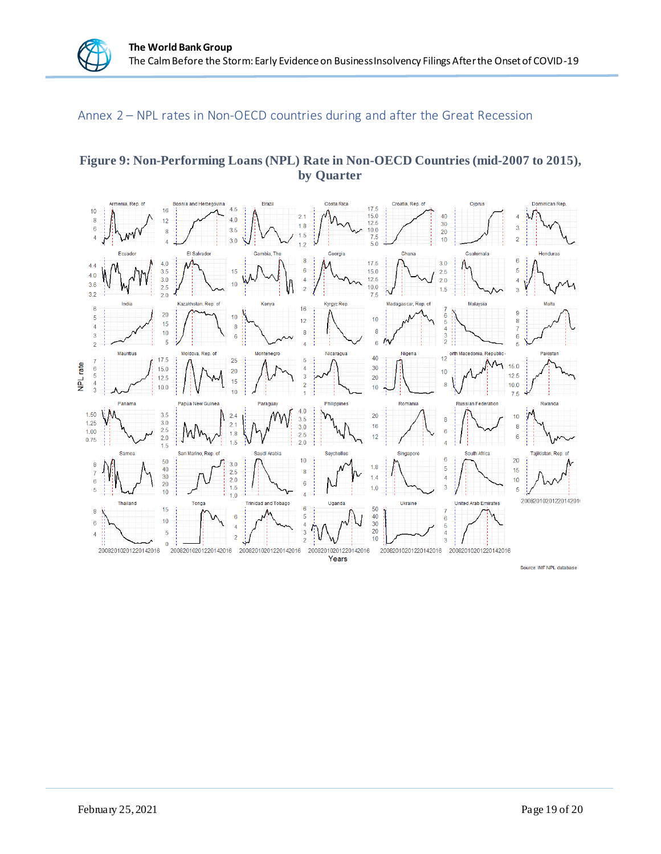## Annex 2 – NPL rates in Non-OECD countries during and after the Great Recession

#### **Figure 9: Non-Performing Loans (NPL) Rate in Non-OECD Countries (mid-2007 to 2015), by Quarter**



Source: IMF NPL database